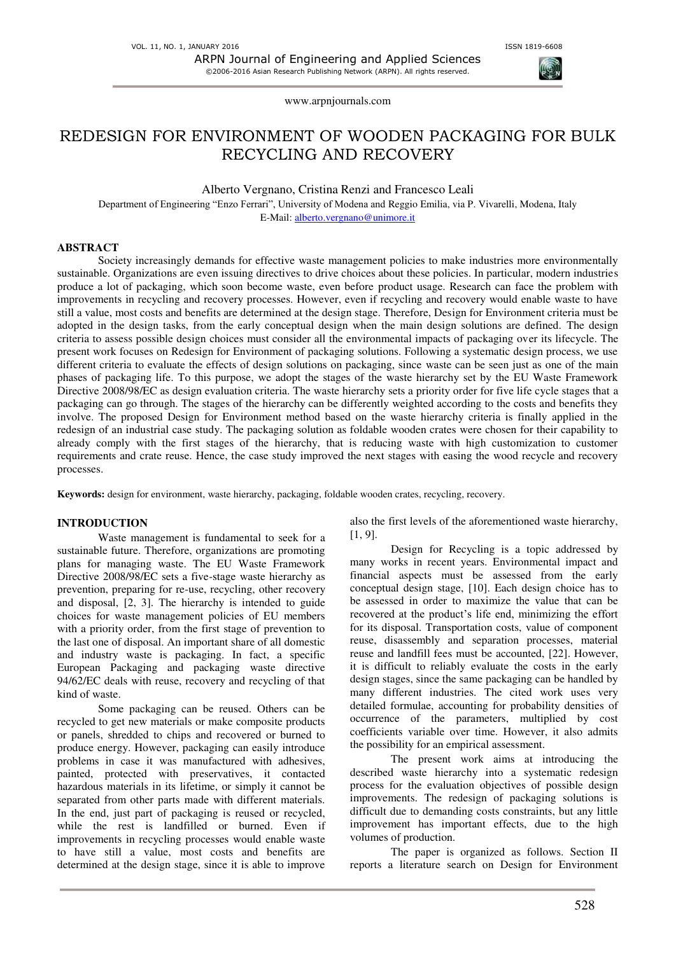# REDESIGN FOR ENVIRONMENT OF WOODEN PACKAGING FOR BULK RECYCLING AND RECOVERY

Alberto Vergnano, Cristina Renzi and Francesco Leali

Department of Engineering "Enzo Ferrari", University of Modena and Reggio Emilia, via P. Vivarelli, Modena, Italy E-Mail[: alberto.vergnano@unimore.it](mailto:alberto.vergnano@unimore.it)

### **ABSTRACT**

Society increasingly demands for effective waste management policies to make industries more environmentally sustainable. Organizations are even issuing directives to drive choices about these policies. In particular, modern industries produce a lot of packaging, which soon become waste, even before product usage. Research can face the problem with improvements in recycling and recovery processes. However, even if recycling and recovery would enable waste to have still a value, most costs and benefits are determined at the design stage. Therefore, Design for Environment criteria must be adopted in the design tasks, from the early conceptual design when the main design solutions are defined. The design criteria to assess possible design choices must consider all the environmental impacts of packaging over its lifecycle. The present work focuses on Redesign for Environment of packaging solutions. Following a systematic design process, we use different criteria to evaluate the effects of design solutions on packaging, since waste can be seen just as one of the main phases of packaging life. To this purpose, we adopt the stages of the waste hierarchy set by the EU Waste Framework Directive 2008/98/EC as design evaluation criteria. The waste hierarchy sets a priority order for five life cycle stages that a packaging can go through. The stages of the hierarchy can be differently weighted according to the costs and benefits they involve. The proposed Design for Environment method based on the waste hierarchy criteria is finally applied in the redesign of an industrial case study. The packaging solution as foldable wooden crates were chosen for their capability to already comply with the first stages of the hierarchy, that is reducing waste with high customization to customer requirements and crate reuse. Hence, the case study improved the next stages with easing the wood recycle and recovery processes.

**Keywords:** design for environment, waste hierarchy, packaging, foldable wooden crates, recycling, recovery.

### **INTRODUCTION**

Waste management is fundamental to seek for a sustainable future. Therefore, organizations are promoting plans for managing waste. The EU Waste Framework Directive 2008/98/EC sets a five-stage waste hierarchy as prevention, preparing for re-use, recycling, other recovery and disposal, [2, 3]. The hierarchy is intended to guide choices for waste management policies of EU members with a priority order, from the first stage of prevention to the last one of disposal. An important share of all domestic and industry waste is packaging. In fact, a specific European Packaging and packaging waste directive 94/62/EC deals with reuse, recovery and recycling of that kind of waste.

Some packaging can be reused. Others can be recycled to get new materials or make composite products or panels, shredded to chips and recovered or burned to produce energy. However, packaging can easily introduce problems in case it was manufactured with adhesives, painted, protected with preservatives, it contacted hazardous materials in its lifetime, or simply it cannot be separated from other parts made with different materials. In the end, just part of packaging is reused or recycled, while the rest is landfilled or burned. Even if improvements in recycling processes would enable waste to have still a value, most costs and benefits are determined at the design stage, since it is able to improve

also the first levels of the aforementioned waste hierarchy, [1, 9].

Design for Recycling is a topic addressed by many works in recent years. Environmental impact and financial aspects must be assessed from the early conceptual design stage, [10]. Each design choice has to be assessed in order to maximize the value that can be recovered at the product's life end, minimizing the effort for its disposal. Transportation costs, value of component reuse, disassembly and separation processes, material reuse and landfill fees must be accounted, [\[22\].](#page-7-0) However, it is difficult to reliably evaluate the costs in the early design stages, since the same packaging can be handled by many different industries. The cited work uses very detailed formulae, accounting for probability densities of occurrence of the parameters, multiplied by cost coefficients variable over time. However, it also admits the possibility for an empirical assessment.

The present work aims at introducing the described waste hierarchy into a systematic redesign process for the evaluation objectives of possible design improvements. The redesign of packaging solutions is difficult due to demanding costs constraints, but any little improvement has important effects, due to the high volumes of production.

The paper is organized as follows. Section II reports a literature search on Design for Environment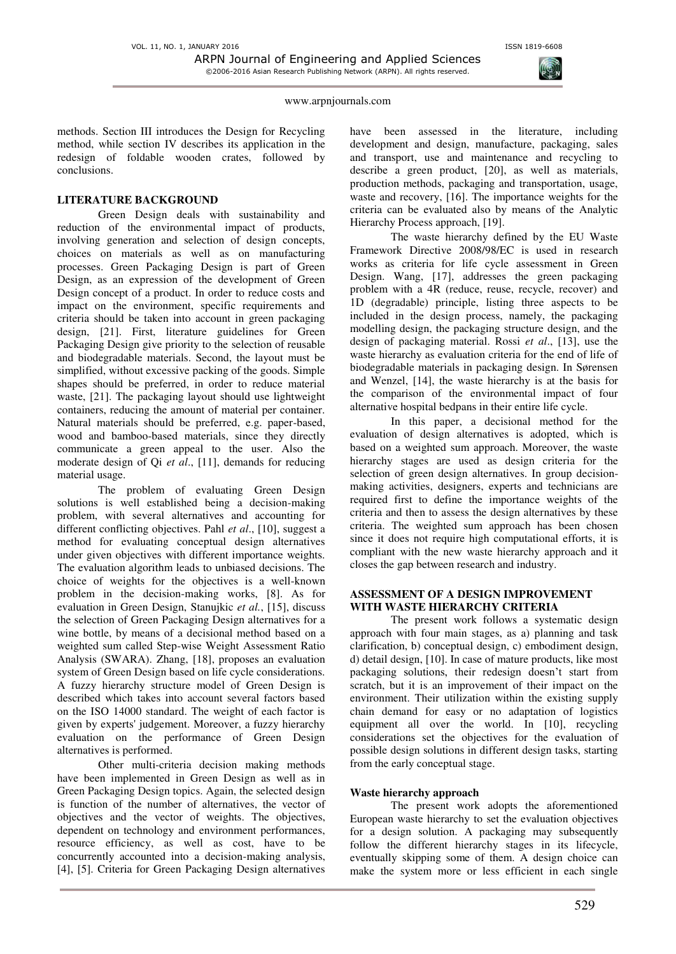methods. Section III introduces the Design for Recycling method, while section IV describes its application in the redesign of foldable wooden crates, followed by conclusions.

# **LITERATURE BACKGROUND**

Green Design deals with sustainability and reduction of the environmental impact of products, involving generation and selection of design concepts, choices on materials as well as on manufacturing processes. Green Packaging Design is part of Green Design, as an expression of the development of Green Design concept of a product. In order to reduce costs and impact on the environment, specific requirements and criteria should be taken into account in green packaging design, [\[21\].](#page-7-1) First, literature guidelines for Green Packaging Design give priority to the selection of reusable and biodegradable materials. Second, the layout must be simplified, without excessive packing of the goods. Simple shapes should be preferred, in order to reduce material waste, [\[21\].](#page-7-1) The packaging layout should use lightweight containers, reducing the amount of material per container. Natural materials should be preferred, e.g. paper-based, wood and bamboo-based materials, since they directly communicate a green appeal to the user. Also the moderate design of Qi *et al*., [\[11\],](#page-7-2) demands for reducing material usage.

The problem of evaluating Green Design solutions is well established being a decision-making problem, with several alternatives and accounting for different conflicting objectives. Pahl *et al*., [\[10\],](#page-7-3) suggest a method for evaluating conceptual design alternatives under given objectives with different importance weights. The evaluation algorithm leads to unbiased decisions. The choice of weights for the objectives is a well-known problem in the decision-making works, [\[8\].](#page-6-0) As for evaluation in Green Design, Stanujkic *et al.*, [\[15\],](#page-7-4) discuss the selection of Green Packaging Design alternatives for a wine bottle, by means of a decisional method based on a weighted sum called Step-wise Weight Assessment Ratio Analysis (SWARA). Zhang, [\[18\],](#page-7-5) proposes an evaluation system of Green Design based on life cycle considerations. A fuzzy hierarchy structure model of Green Design is described which takes into account several factors based on the ISO 14000 standard. The weight of each factor is given by experts' judgement. Moreover, a fuzzy hierarchy evaluation on the performance of Green Design alternatives is performed.

Other multi-criteria decision making methods have been implemented in Green Design as well as in Green Packaging Design topics. Again, the selected design is function of the number of alternatives, the vector of objectives and the vector of weights. The objectives, dependent on technology and environment performances, resource efficiency, as well as cost, have to be concurrently accounted into a decision-making analysis, [\[4\],](#page-6-1) [\[5\].](#page-6-2) Criteria for Green Packaging Design alternatives have been assessed in the literature, including development and design, manufacture, packaging, sales and transport, use and maintenance and recycling to describe a green product, [\[20\],](#page-7-6) as well as materials, production methods, packaging and transportation, usage, waste and recovery, [\[16\].](#page-7-7) The importance weights for the criteria can be evaluated also by means of the Analytic Hierarchy Process approach[, \[19\].](#page-7-8) 

The waste hierarchy defined by the EU Waste Framework Directive 2008/98/EC is used in research works as criteria for life cycle assessment in Green Design. Wang, [\[17\],](#page-7-9) addresses the green packaging problem with a 4R (reduce, reuse, recycle, recover) and 1D (degradable) principle, listing three aspects to be included in the design process, namely, the packaging modelling design, the packaging structure design, and the design of packaging material. Rossi *et al*., [\[13\],](#page-7-10) use the waste hierarchy as evaluation criteria for the end of life of biodegradable materials in packaging design. In Sørensen and Wenzel, [\[14\],](#page-7-11) the waste hierarchy is at the basis for the comparison of the environmental impact of four alternative hospital bedpans in their entire life cycle.

In this paper, a decisional method for the evaluation of design alternatives is adopted, which is based on a weighted sum approach. Moreover, the waste hierarchy stages are used as design criteria for the selection of green design alternatives. In group decisionmaking activities, designers, experts and technicians are required first to define the importance weights of the criteria and then to assess the design alternatives by these criteria. The weighted sum approach has been chosen since it does not require high computational efforts, it is compliant with the new waste hierarchy approach and it closes the gap between research and industry.

# **ASSESSMENT OF A DESIGN IMPROVEMENT WITH WASTE HIERARCHY CRITERIA**

The present work follows a systematic design approach with four main stages, as a) planning and task clarification, b) conceptual design, c) embodiment design, d) detail design, [10]. In case of mature products, like most packaging solutions, their redesign doesn't start from scratch, but it is an improvement of their impact on the environment. Their utilization within the existing supply chain demand for easy or no adaptation of logistics equipment all over the world. In [10], recycling considerations set the objectives for the evaluation of possible design solutions in different design tasks, starting from the early conceptual stage.

## **Waste hierarchy approach**

The present work adopts the aforementioned European waste hierarchy to set the evaluation objectives for a design solution. A packaging may subsequently follow the different hierarchy stages in its lifecycle, eventually skipping some of them. A design choice can make the system more or less efficient in each single

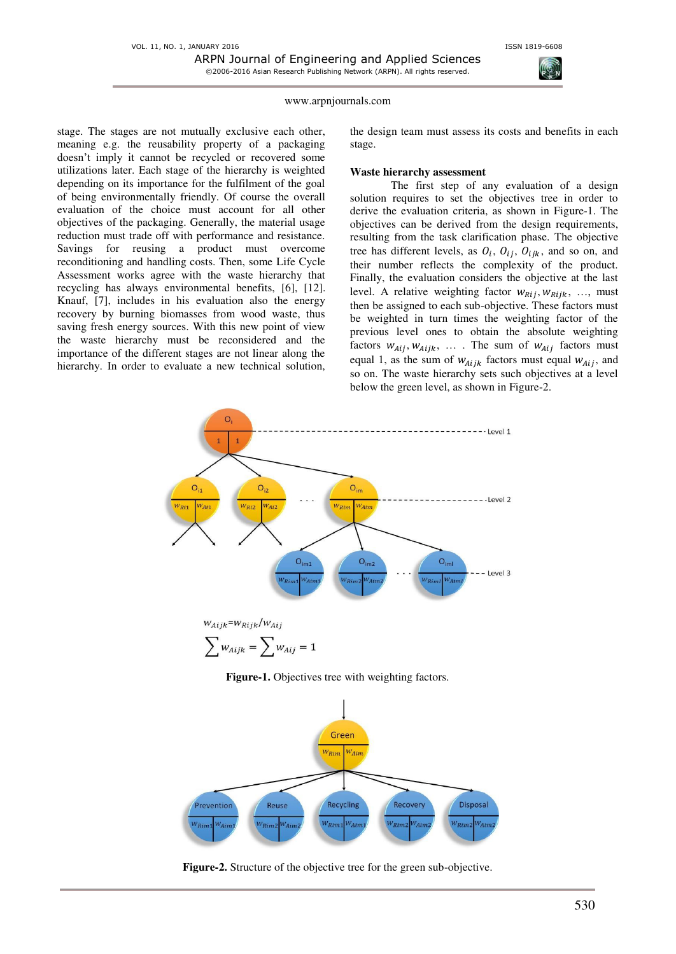stage. The stages are not mutually exclusive each other, meaning e.g. the reusability property of a packaging doesn't imply it cannot be recycled or recovered some utilizations later. Each stage of the hierarchy is weighted depending on its importance for the fulfilment of the goal of being environmentally friendly. Of course the overall evaluation of the choice must account for all other objectives of the packaging. Generally, the material usage reduction must trade off with performance and resistance. Savings for reusing a product must overcome reconditioning and handling costs. Then, some Life Cycle Assessment works agree with the waste hierarchy that recycling has always environmental benefits, [\[6\],](#page-6-3) [\[12\].](#page-7-12)  Knauf, [\[7\],](#page-6-4) includes in his evaluation also the energy recovery by burning biomasses from wood waste, thus saving fresh energy sources. With this new point of view the waste hierarchy must be reconsidered and the importance of the different stages are not linear along the hierarchy. In order to evaluate a new technical solution, the design team must assess its costs and benefits in each stage.

### **Waste hierarchy assessment**

The first step of any evaluation of a design solution requires to set the objectives tree in order to derive the evaluation criteria, as shown in Figure-1. The objectives can be derived from the design requirements, resulting from the task clarification phase. The objective tree has different levels, as  $O_i$ ,  $O_{ij}$ ,  $O_{ijk}$ , and so on, and their number reflects the complexity of the product. Finally, the evaluation considers the objective at the last level. A relative weighting factor  $w_{Rij}$ ,  $w_{Rijk}$ , ..., must then be assigned to each sub-objective. These factors must be weighted in turn times the weighting factor of the previous level ones to obtain the absolute weighting factors  $w_{Aij}$ ,  $w_{Aijk}$ , .... The sum of  $w_{Aij}$  factors must equal 1, as the sum of  $w_{Aijk}$  factors must equal  $w_{Aij}$ , and so on. The waste hierarchy sets such objectives at a level below the green level, as shown in Figure-2.



$$
\sum w_{Aijk} = \sum w_{Aij} = 1
$$

**Figure-1.** Objectives tree with weighting factors.



**Figure-2.** Structure of the objective tree for the green sub-objective.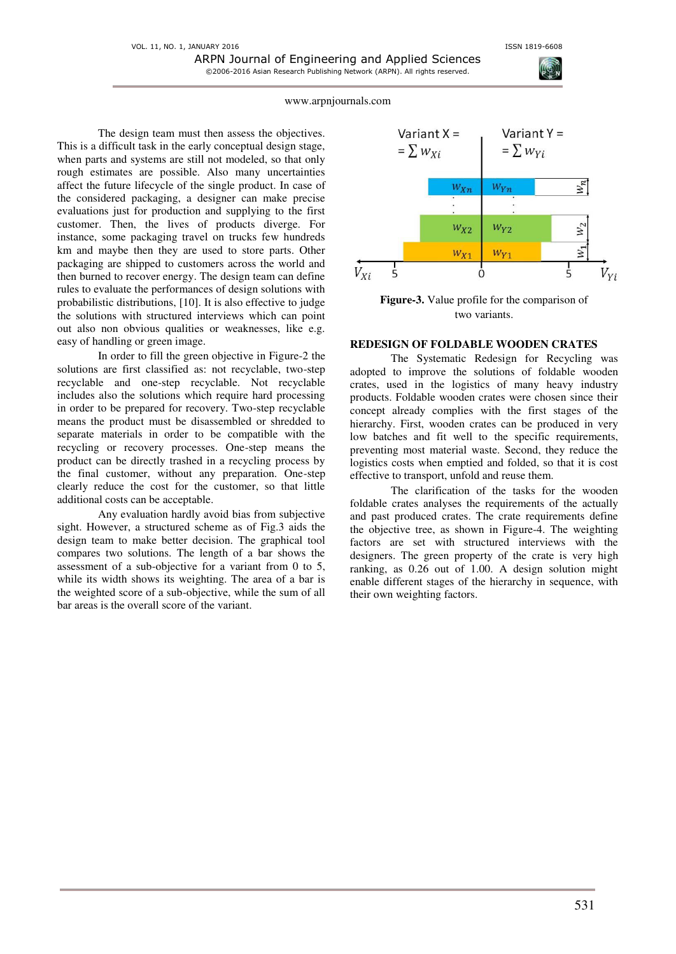The design team must then assess the objectives. This is a difficult task in the early conceptual design stage, when parts and systems are still not modeled, so that only rough estimates are possible. Also many uncertainties affect the future lifecycle of the single product. In case of the considered packaging, a designer can make precise evaluations just for production and supplying to the first customer. Then, the lives of products diverge. For instance, some packaging travel on trucks few hundreds km and maybe then they are used to store parts. Other packaging are shipped to customers across the world and then burned to recover energy. The design team can define rules to evaluate the performances of design solutions with probabilistic distributions, [\[10\].](#page-7-3) It is also effective to judge the solutions with structured interviews which can point out also non obvious qualities or weaknesses, like e.g. easy of handling or green image.

In order to fill the green objective in Figure-2 the solutions are first classified as: not recyclable, two-step recyclable and one-step recyclable. Not recyclable includes also the solutions which require hard processing in order to be prepared for recovery. Two-step recyclable means the product must be disassembled or shredded to separate materials in order to be compatible with the recycling or recovery processes. One-step means the product can be directly trashed in a recycling process by the final customer, without any preparation. One-step clearly reduce the cost for the customer, so that little additional costs can be acceptable.

Any evaluation hardly avoid bias from subjective sight. However, a structured scheme as of Fig.3 aids the design team to make better decision. The graphical tool compares two solutions. The length of a bar shows the assessment of a sub-objective for a variant from 0 to 5, while its width shows its weighting. The area of a bar is the weighted score of a sub-objective, while the sum of all bar areas is the overall score of the variant.



**Figure-3.** Value profile for the comparison of two variants.

### **REDESIGN OF FOLDABLE WOODEN CRATES**

The Systematic Redesign for Recycling was adopted to improve the solutions of foldable wooden crates, used in the logistics of many heavy industry products. Foldable wooden crates were chosen since their concept already complies with the first stages of the hierarchy. First, wooden crates can be produced in very low batches and fit well to the specific requirements, preventing most material waste. Second, they reduce the logistics costs when emptied and folded, so that it is cost effective to transport, unfold and reuse them.

The clarification of the tasks for the wooden foldable crates analyses the requirements of the actually and past produced crates. The crate requirements define the objective tree, as shown in Figure-4. The weighting factors are set with structured interviews with the designers. The green property of the crate is very high ranking, as 0.26 out of 1.00. A design solution might enable different stages of the hierarchy in sequence, with their own weighting factors.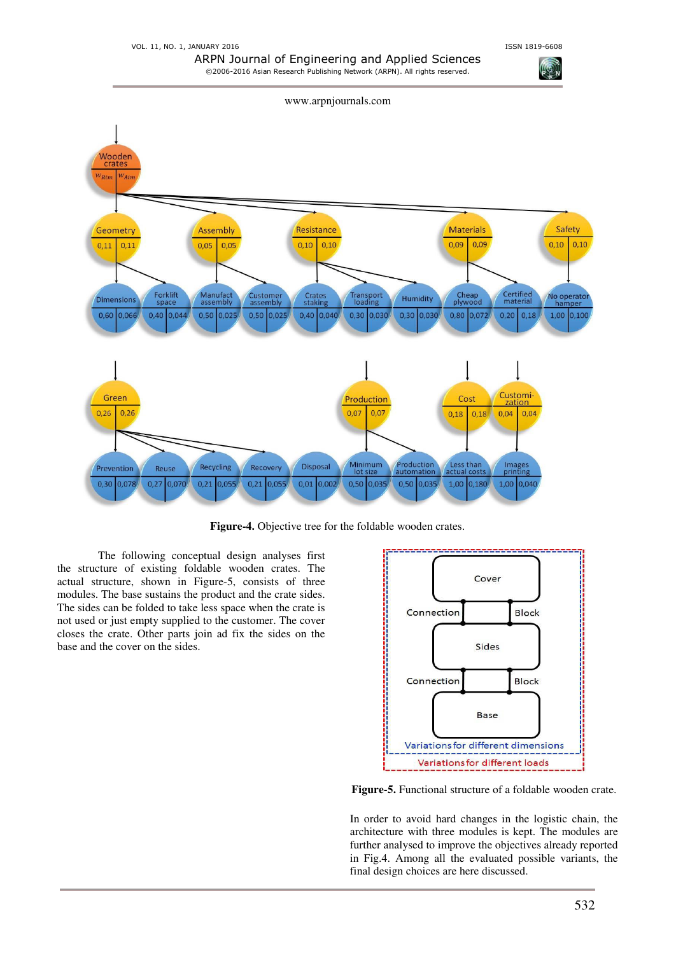



**Figure-4.** Objective tree for the foldable wooden crates.

The following conceptual design analyses first the structure of existing foldable wooden crates. The actual structure, shown in Figure-5, consists of three modules. The base sustains the product and the crate sides. The sides can be folded to take less space when the crate is not used or just empty supplied to the customer. The cover closes the crate. Other parts join ad fix the sides on the base and the cover on the sides.



**Figure-5.** Functional structure of a foldable wooden crate.

In order to avoid hard changes in the logistic chain, the architecture with three modules is kept. The modules are further analysed to improve the objectives already reported in Fig.4. Among all the evaluated possible variants, the final design choices are here discussed.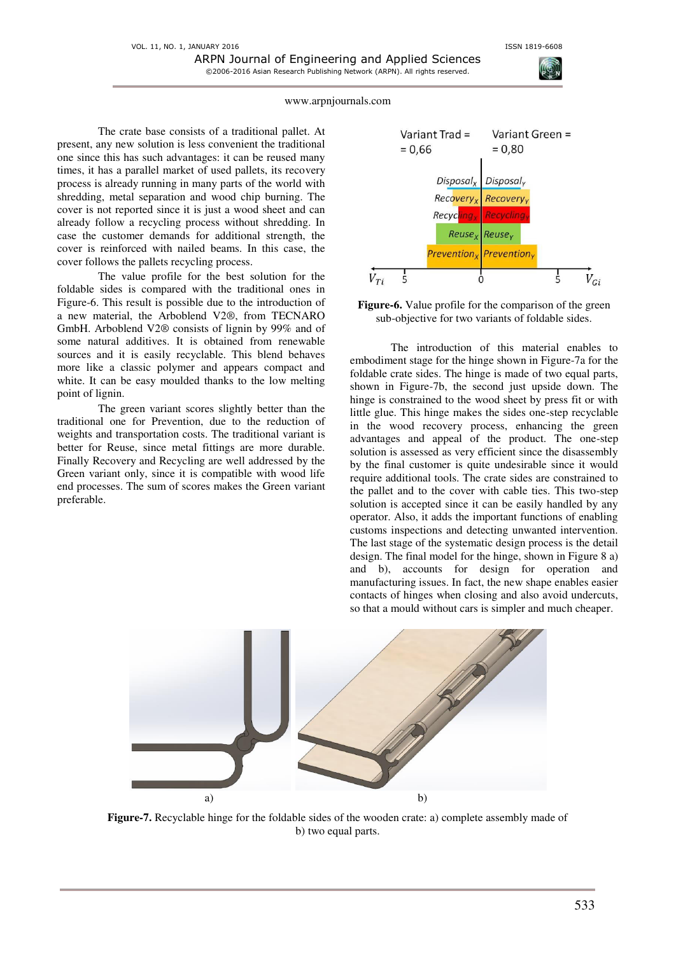The crate base consists of a traditional pallet. At present, any new solution is less convenient the traditional one since this has such advantages: it can be reused many times, it has a parallel market of used pallets, its recovery process is already running in many parts of the world with shredding, metal separation and wood chip burning. The cover is not reported since it is just a wood sheet and can already follow a recycling process without shredding. In case the customer demands for additional strength, the cover is reinforced with nailed beams. In this case, the cover follows the pallets recycling process.

The value profile for the best solution for the foldable sides is compared with the traditional ones in Figure-6. This result is possible due to the introduction of a new material, the Arboblend V2®, from TECNARO GmbH. Arboblend V2® consists of lignin by 99% and of some natural additives. It is obtained from renewable sources and it is easily recyclable. This blend behaves more like a classic polymer and appears compact and white. It can be easy moulded thanks to the low melting point of lignin.

The green variant scores slightly better than the traditional one for Prevention, due to the reduction of weights and transportation costs. The traditional variant is better for Reuse, since metal fittings are more durable. Finally Recovery and Recycling are well addressed by the Green variant only, since it is compatible with wood life end processes. The sum of scores makes the Green variant preferable.





The introduction of this material enables to embodiment stage for the hinge shown in Figure-7a for the foldable crate sides. The hinge is made of two equal parts, shown in Figure-7b, the second just upside down. The hinge is constrained to the wood sheet by press fit or with little glue. This hinge makes the sides one-step recyclable in the wood recovery process, enhancing the green advantages and appeal of the product. The one-step solution is assessed as very efficient since the disassembly by the final customer is quite undesirable since it would require additional tools. The crate sides are constrained to the pallet and to the cover with cable ties. This two-step solution is accepted since it can be easily handled by any operator. Also, it adds the important functions of enabling customs inspections and detecting unwanted intervention. The last stage of the systematic design process is the detail design. The final model for the hinge, shown in Figure 8 a) and b), accounts for design for operation and manufacturing issues. In fact, the new shape enables easier contacts of hinges when closing and also avoid undercuts, so that a mould without cars is simpler and much cheaper.



**Figure-7.** Recyclable hinge for the foldable sides of the wooden crate: a) complete assembly made of b) two equal parts.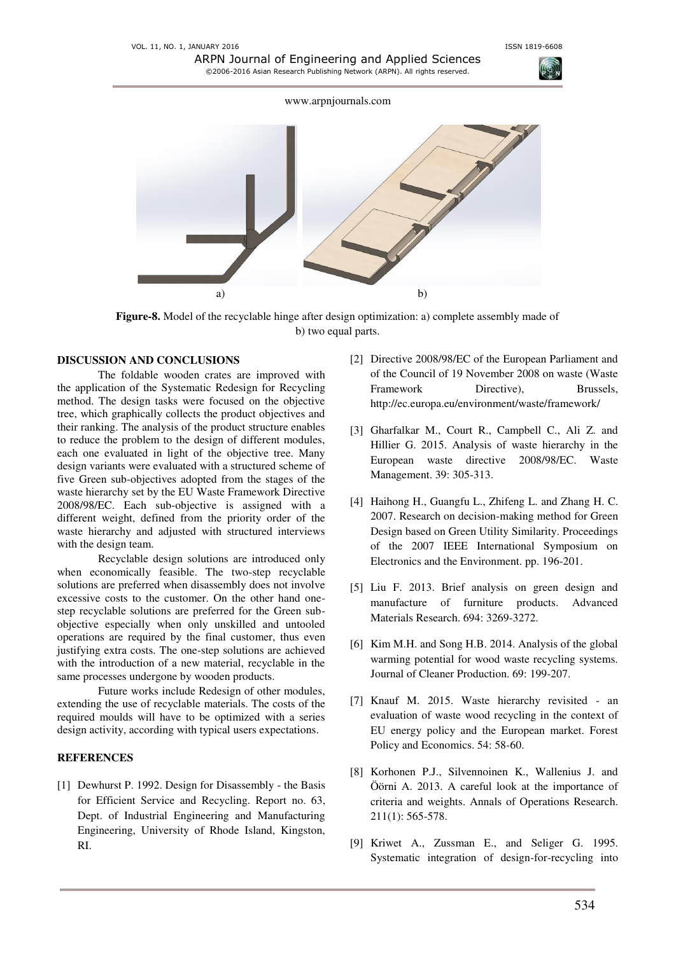

**Figure-8.** Model of the recyclable hinge after design optimization: a) complete assembly made of b) two equal parts.

### **DISCUSSION AND CONCLUSIONS**

The foldable wooden crates are improved with the application of the Systematic Redesign for Recycling method. The design tasks were focused on the objective tree, which graphically collects the product objectives and their ranking. The analysis of the product structure enables to reduce the problem to the design of different modules, each one evaluated in light of the objective tree. Many design variants were evaluated with a structured scheme of five Green sub-objectives adopted from the stages of the waste hierarchy set by the EU Waste Framework Directive 2008/98/EC. Each sub-objective is assigned with a different weight, defined from the priority order of the waste hierarchy and adjusted with structured interviews with the design team.

Recyclable design solutions are introduced only when economically feasible. The two-step recyclable solutions are preferred when disassembly does not involve excessive costs to the customer. On the other hand onestep recyclable solutions are preferred for the Green subobjective especially when only unskilled and untooled operations are required by the final customer, thus even justifying extra costs. The one-step solutions are achieved with the introduction of a new material, recyclable in the same processes undergone by wooden products.

Future works include Redesign of other modules, extending the use of recyclable materials. The costs of the required moulds will have to be optimized with a series design activity, according with typical users expectations.

# **REFERENCES**

[1] Dewhurst P. 1992. Design for Disassembly - the Basis for Efficient Service and Recycling. Report no. 63, Dept. of Industrial Engineering and Manufacturing Engineering, University of Rhode Island, Kingston, RI.

- [2] Directive 2008/98/EC of the European Parliament and of the Council of 19 November 2008 on waste (Waste Framework Directive), Brussels, http://ec.europa.eu/environment/waste/framework/
- [3] Gharfalkar M., Court R., Campbell C., Ali Z. and Hillier G. 2015. Analysis of waste hierarchy in the European waste directive 2008/98/EC. Waste Management. 39: 305-313.
- <span id="page-6-1"></span>[4] Haihong H., Guangfu L., Zhifeng L. and Zhang H. C. 2007. Research on decision-making method for Green Design based on Green Utility Similarity. Proceedings of the 2007 IEEE International Symposium on Electronics and the Environment. pp. 196-201.
- <span id="page-6-2"></span>[5] Liu F. 2013. Brief analysis on green design and manufacture of furniture products. Advanced Materials Research. 694: 3269-3272.
- <span id="page-6-3"></span>[6] Kim M.H. and Song H.B. 2014. Analysis of the global warming potential for wood waste recycling systems. Journal of Cleaner Production. 69: 199-207.
- <span id="page-6-4"></span>[7] Knauf M. 2015. Waste hierarchy revisited - an evaluation of waste wood recycling in the context of EU energy policy and the European market. Forest Policy and Economics. 54: 58-60.
- <span id="page-6-0"></span>[8] Korhonen P.J., Silvennoinen K., Wallenius J. and Öörni A. 2013. A careful look at the importance of criteria and weights. Annals of Operations Research. 211(1): 565-578.
- [9] Kriwet A., Zussman E., and Seliger G. 1995. Systematic integration of design-for-recycling into